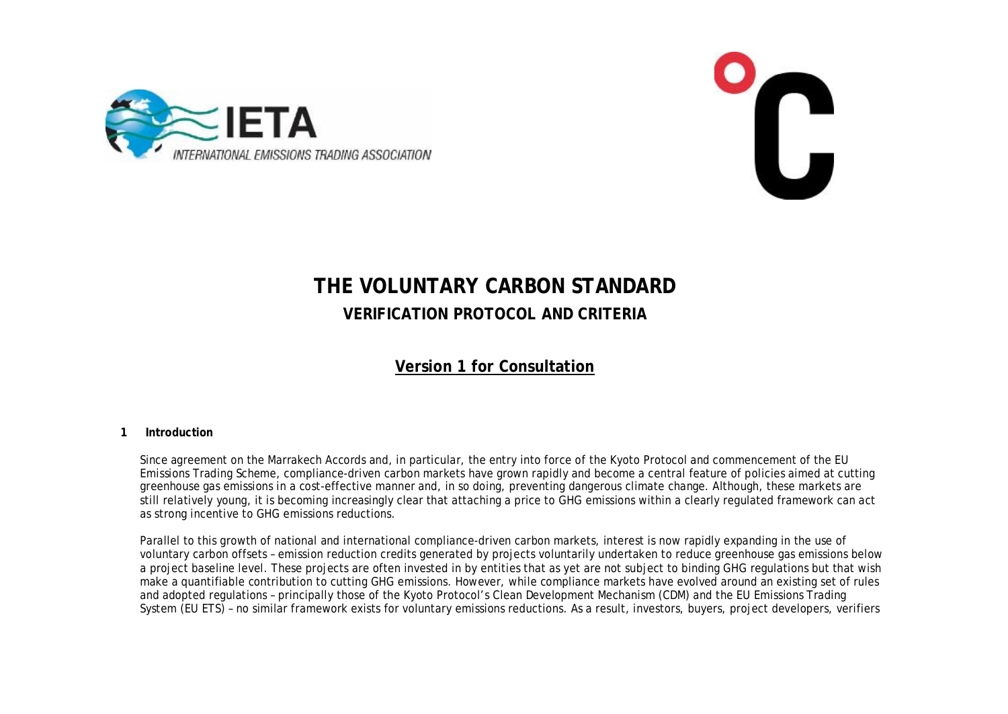



# **THE VOLUNTARY CARBON STANDARD VERIFICATION PROTOCOL AND CRITERIA**

# **Version 1 for Consultation**

#### **1 Introduction**

Since agreement on the Marrakech Accords and, in particular, the entry into force of the Kyoto Protocol and commencement of the EU Emissions Trading Scheme, compliance-driven carbon markets have grown rapidly and become a central feature of policies aimed at cutting greenhouse gas emissions in a cost-effective manner and, in so doing, preventing dangerous climate change. Although, these markets are still relatively young, it is becoming increasingly clear that attaching a price to GHG emissions within a clearly regulated framework can act as strong incentive to GHG emissions reductions.

Parallel to this growth of national and international compliance-driven carbon markets, interest is now rapidly expanding in the use of voluntary carbon offsets – emission reduction credits generated by projects voluntarily undertaken to reduce greenhouse gas emissions below a project baseline level. These projects are often invested in by entities that as yet are not subject to binding GHG regulations but that wish make a quantifiable contribution to cutting GHG emissions. However, while compliance markets have evolved around an existing set of rules and adopted regulations – principally those of the Kyoto Protocol's Clean Development Mechanism (CDM) and the EU Emissions Trading System (EU ETS) – no similar framework exists for voluntary emissions reductions. As a result, investors, buyers, project developers, verifiers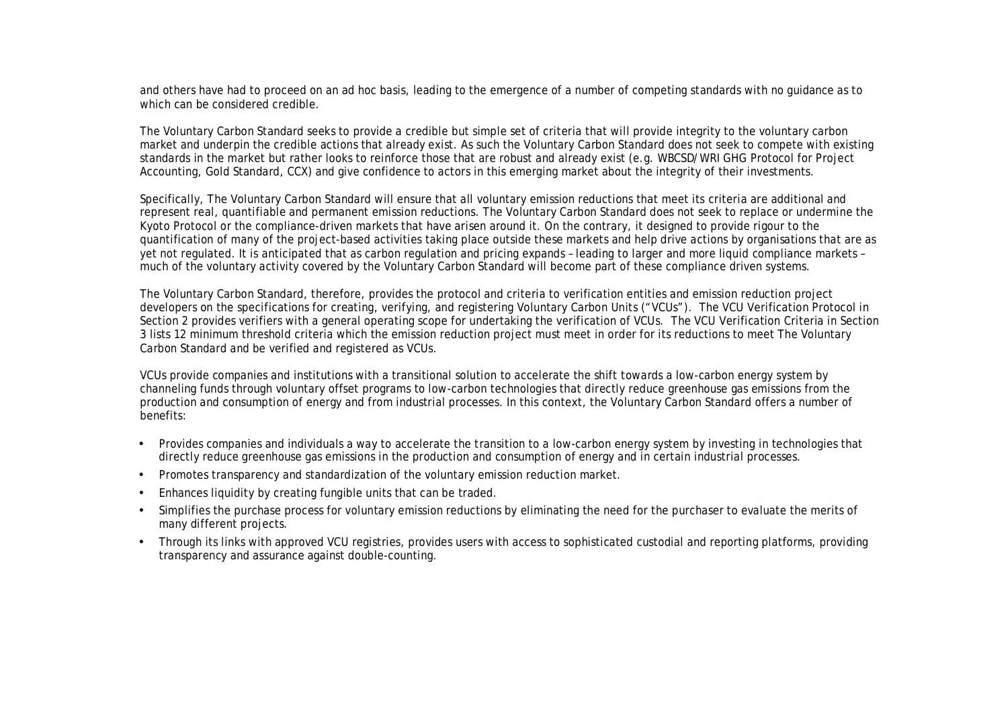and others have had to proceed on an ad hoc basis, leading to the emergence of a number of competing standards with no guidance as to which can be considered credible.

The Voluntary Carbon Standard seeks to provide a credible but simple set of criteria that will provide integrity to the voluntary carbon market and underpin the credible actions that already exist. As such the Voluntary Carbon Standard does not seek to compete with existing standards in the market but rather looks to reinforce those that are robust and already exist (e.g. WBCSD/WRI GHG Protocol for Project Accounting, Gold Standard, CCX) and give confidence to actors in this emerging market about the integrity of their investments.

Specifically, The Voluntary Carbon Standard will ensure that all voluntary emission reductions that meet its criteria are additional and represent real, quantifiable and permanent emission reductions. The Voluntary Carbon Standard does not seek to replace or undermine the Kyoto Protocol or the compliance-driven markets that have arisen around it. On the contrary, it designed to provide rigour to the quantification of many of the project-based activities taking place outside these markets and help drive actions by organisations that are as yet not regulated. It is anticipated that as carbon regulation and pricing expands – leading to larger and more liquid compliance markets – much of the voluntary activity covered by the Voluntary Carbon Standard will become part of these compliance driven systems.

The Voluntary Carbon Standard, therefore, provides the protocol and criteria to verification entities and emission reduction project developers on the specifications for creating, verifying, and registering Voluntary Carbon Units ("VCUs"). The VCU Verification Protocol in Section 2 provides verifiers with a general operating scope for undertaking the verification of VCUs. The VCU Verification Criteria in Section 3 lists 12 minimum threshold criteria which the emission reduction project must meet in order for its reductions to meet The Voluntary Carbon Standard and be verified and registered as VCUs.

VCUs provide companies and institutions with a transitional solution to accelerate the shift towards a low-carbon energy system by channeling funds through voluntary offset programs to low-carbon technologies that directly reduce greenhouse gas emissions from the production and consumption of energy and from industrial processes. In this context, the Voluntary Carbon Standard offers a number of benefits:

- Provides companies and individuals a way to accelerate the transition to a low-carbon energy system by investing in technologies that directly reduce greenhouse gas emissions in the production and consumption of energy and in certain industrial processes.
- Promotes transparency and standardization of the voluntary emission reduction market.
- Enhances liquidity by creating fungible units that can be traded.
- Simplifies the purchase process for voluntary emission reductions by eliminating the need for the purchaser to evaluate the merits of many different projects.
- Through its links with approved VCU registries, provides users with access to sophisticated custodial and reporting platforms, providing transparency and assurance against double-counting.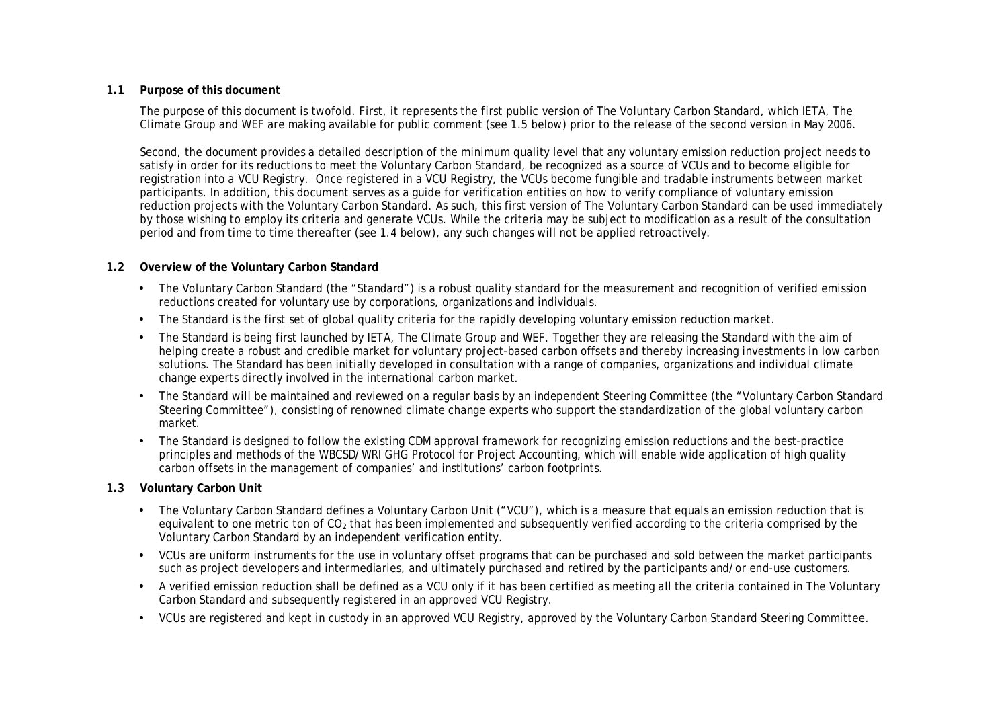#### **1.1 Purpose of this document**

The purpose of this document is twofold. First, it represents the first public version of The Voluntary Carbon Standard, which IETA, The Climate Group and WEF are making available for public comment (see 1.5 below) prior to the release of the second version in May 2006.

Second, the document provides a detailed description of the minimum quality level that any voluntary emission reduction project needs to satisfy in order for its reductions to meet the Voluntary Carbon Standard, be recognized as a source of VCUs and to become eligible for registration into a VCU Registry. Once registered in a VCU Registry, the VCUs become fungible and tradable instruments between market participants. In addition, this document serves as a guide for verification entities on how to verify compliance of voluntary emission reduction projects with the Voluntary Carbon Standard. As such, this first version of The Voluntary Carbon Standard can be used immediately by those wishing to employ its criteria and generate VCUs. While the criteria may be subject to modification as a result of the consultation period and from time to time thereafter (see 1.4 below), any such changes will not be applied retroactively.

## **1.2 Overview of the Voluntary Carbon Standard**

- The Voluntary Carbon Standard (the "Standard") is a robust quality standard for the measurement and recognition of verified emission reductions created for voluntary use by corporations, organizations and individuals.
- The Standard is the first set of global quality criteria for the rapidly developing voluntary emission reduction market.
- The Standard is being first launched by IETA, The Climate Group and WEF. Together they are releasing the Standard with the aim of helping create a robust and credible market for voluntary project-based carbon offsets and thereby increasing investments in low carbon solutions. The Standard has been initially developed in consultation with a range of companies, organizations and individual climate change experts directly involved in the international carbon market.
- The Standard will be maintained and reviewed on a regular basis by an independent Steering Committee (the "Voluntary Carbon Standard Steering Committee"), consisting of renowned climate change experts who support the standardization of the global voluntary carbon market.
- The Standard is designed to follow the existing CDM approval framework for recognizing emission reductions and the best-practice principles and methods of the WBCSD/WRI GHG Protocol for Project Accounting, which will enable wide application of high quality carbon offsets in the management of companies' and institutions' carbon footprints.

#### **1.3 Voluntary Carbon Unit**

- The Voluntary Carbon Standard defines a Voluntary Carbon Unit ("VCU"), which is a measure that equals an emission reduction that is equivalent to one metric ton of CO<sub>2</sub> that has been implemented and subsequently verified according to the criteria comprised by the Voluntary Carbon Standard by an independent verification entity.
- VCUs are uniform instruments for the use in voluntary offset programs that can be purchased and sold between the market participants such as project developers and intermediaries, and ultimately purchased and retired by the participants and/or end-use customers.
- A verified emission reduction shall be defined as a VCU only if it has been certified as meeting all the criteria contained in The Voluntary Carbon Standard and subsequently registered in an approved VCU Registry.
- VCUs are registered and kept in custody in an approved VCU Registry, approved by the Voluntary Carbon Standard Steering Committee.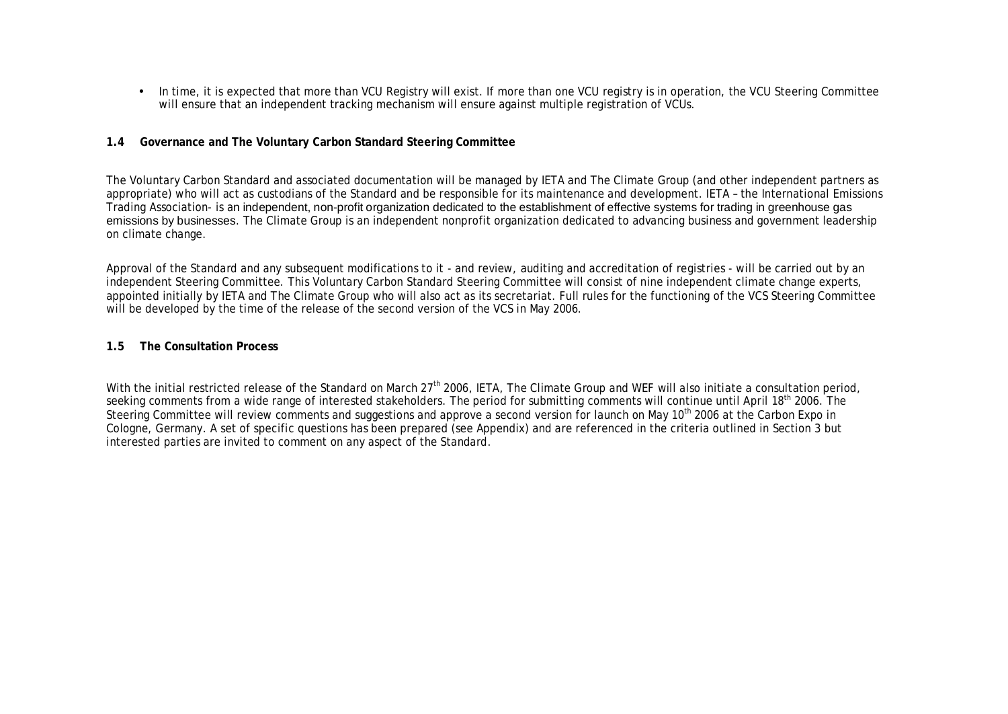• In time, it is expected that more than VCU Registry will exist. If more than one VCU registry is in operation, the VCU Steering Committee will ensure that an independent tracking mechanism will ensure against multiple registration of VCUs.

#### **1.4 Governance and The Voluntary Carbon Standard Steering Committee**

The Voluntary Carbon Standard and associated documentation will be managed by IETA and The Climate Group (and other independent partners as appropriate) who will act as custodians of the Standard and be responsible for its maintenance and development. IETA – the International Emissions Trading Association- is an independent, non-profit organization dedicated to the establishment of effective systems for trading in greenhouse gas emissions by businesses. The Climate Group is an independent nonprofit organization dedicated to advancing business and government leadership on climate change.

Approval of the Standard and any subsequent modifications to it - and review, auditing and accreditation of registries - will be carried out by an independent Steering Committee. This Voluntary Carbon Standard Steering Committee will consist of nine independent climate change experts, appointed initially by IETA and The Climate Group who will also act as its secretariat. Full rules for the functioning of the VCS Steering Committee will be developed by the time of the release of the second version of the VCS in May 2006.

#### **1.5 The Consultation Process**

With the initial restricted release of the Standard on March 27<sup>th</sup> 2006, IETA, The Climate Group and WEF will also initiate a consultation period, seeking comments from a wide range of interested stakeholders. The period for submitting comments will continue until April 18<sup>th</sup> 2006. The Steering Committee will review comments and suggestions and approve a second version for launch on May 10<sup>th</sup> 2006 at the Carbon Expo in Cologne, Germany. A set of specific questions has been prepared (see Appendix) and are referenced in the criteria outlined in Section 3 but interested parties are invited to comment on any aspect of the Standard.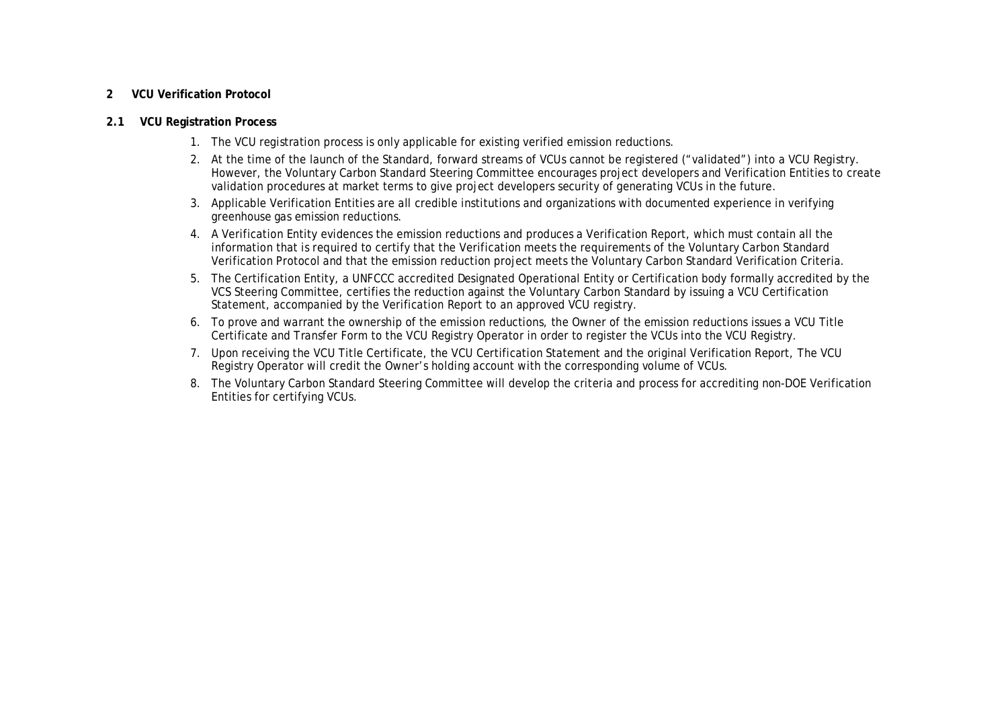#### **2 VCU Verification Protocol**

#### **2.1 VCU Registration Process**

- 1. The VCU registration process is only applicable for existing verified emission reductions.
- 2. At the time of the launch of the Standard, forward streams of VCUs cannot be registered ("validated") into a VCU Registry. However, the Voluntary Carbon Standard Steering Committee encourages project developers and Verification Entities to create validation procedures at market terms to give project developers security of generating VCUs in the future.
- 3. Applicable Verification Entities are all credible institutions and organizations with documented experience in verifying greenhouse gas emission reductions.
- 4. A Verification Entity evidences the emission reductions and produces a Verification Report, which must contain all the information that is required to certify that the Verification meets the requirements of the Voluntary Carbon Standard Verification Protocol and that the emission reduction project meets the Voluntary Carbon Standard Verification Criteria.
- 5. The Certification Entity, a UNFCCC accredited Designated Operational Entity or Certification body formally accredited by the VCS Steering Committee, certifies the reduction against the Voluntary Carbon Standard by issuing a VCU Certification Statement, accompanied by the Verification Report to an approved VCU registry.
- 6. To prove and warrant the ownership of the emission reductions, the Owner of the emission reductions issues a VCU Title Certificate and Transfer Form to the VCU Registry Operator in order to register the VCUs into the VCU Registry.
- 7. Upon receiving the VCU Title Certificate, the VCU Certification Statement and the original Verification Report, The VCU Registry Operator will credit the Owner's holding account with the corresponding volume of VCUs.
- 8. The Voluntary Carbon Standard Steering Committee will develop the criteria and process for accrediting non-DOE Verification Entities for certifying VCUs.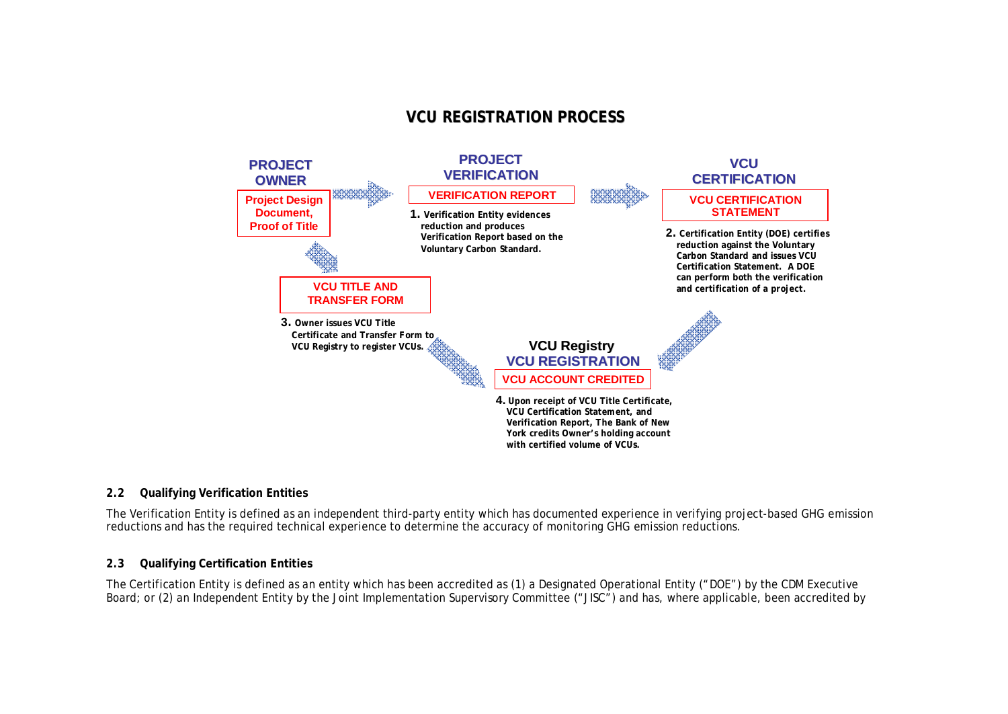# **VCU REGISTRATION PROCESS**



#### **2.2 Qualifying Verification Entities**

The Verification Entity is defined as an independent third-party entity which has documented experience in verifying project-based GHG emission reductions and has the required technical experience to determine the accuracy of monitoring GHG emission reductions.

#### **2.3 Qualifying Certification Entities**

The Certification Entity is defined as an entity which has been accredited as (1) a Designated Operational Entity ("DOE") by the CDM Executive Board; or (2) an Independent Entity by the Joint Implementation Supervisory Committee ("JISC") and has, where applicable, been accredited by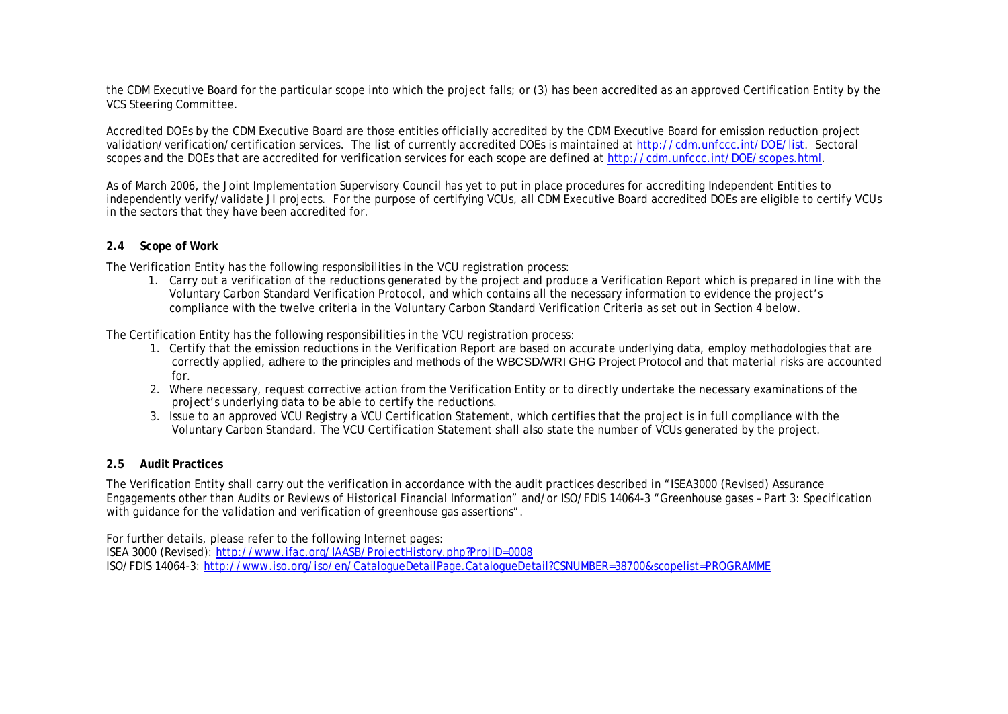the CDM Executive Board for the particular scope into which the project falls; or (3) has been accredited as an approved Certification Entity by the VCS Steering Committee.

Accredited DOEs by the CDM Executive Board are those entities officially accredited by the CDM Executive Board for emission reduction project validation/verification/certification services. The list of currently accredited DOEs is maintained at [http://cdm.unfccc.int/DOE/list.](http://cdm.unfccc.int/DOE/list) Sectoral scopes and the DOEs that are accredited for verification services for each scope are defined at [http://cdm.unfccc.int/DOE/scopes.html.](http://cdm.unfccc.int/DOE/scopes.html)

As of March 2006, the Joint Implementation Supervisory Council has yet to put in place procedures for accrediting Independent Entities to independently verify/validate JI projects. For the purpose of certifying VCUs, all CDM Executive Board accredited DOEs are eligible to certify VCUs in the sectors that they have been accredited for.

## **2.4 Scope of Work**

The Verification Entity has the following responsibilities in the VCU registration process:

1. Carry out a verification of the reductions generated by the project and produce a Verification Report which is prepared in line with the Voluntary Carbon Standard Verification Protocol, and which contains all the necessary information to evidence the project's compliance with the twelve criteria in the Voluntary Carbon Standard Verification Criteria as set out in Section 4 below.

The Certification Entity has the following responsibilities in the VCU registration process:

- 1. Certify that the emission reductions in the Verification Report are based on accurate underlying data, employ methodologies that are correctly applied, adhere to the principles and methods of the WBCSD/WRI GHG Project Protocol and that material risks are accounted for.
- 2. Where necessary, request corrective action from the Verification Entity or to directly undertake the necessary examinations of the project's underlying data to be able to certify the reductions.
- 3. Issue to an approved VCU Registry a VCU Certification Statement, which certifies that the project is in full compliance with the Voluntary Carbon Standard. The VCU Certification Statement shall also state the number of VCUs generated by the project.

#### **2.5 Audit Practices**

The Verification Entity shall carry out the verification in accordance with the audit practices described in "ISEA3000 (Revised) Assurance Engagements other than Audits or Reviews of Historical Financial Information" and/or ISO/FDIS 14064-3 "Greenhouse gases – Part 3: Specification with guidance for the validation and verification of greenhouse gas assertions".

For further details, please refer to the following Internet pages:

ISEA 3000 (Revised):<http://www.ifac.org/IAASB/ProjectHistory.php?ProjID=0008> ISO/FDIS 14064-3:<http://www.iso.org/iso/en/CatalogueDetailPage.CatalogueDetail?CSNUMBER=38700&scopelist=PROGRAMME>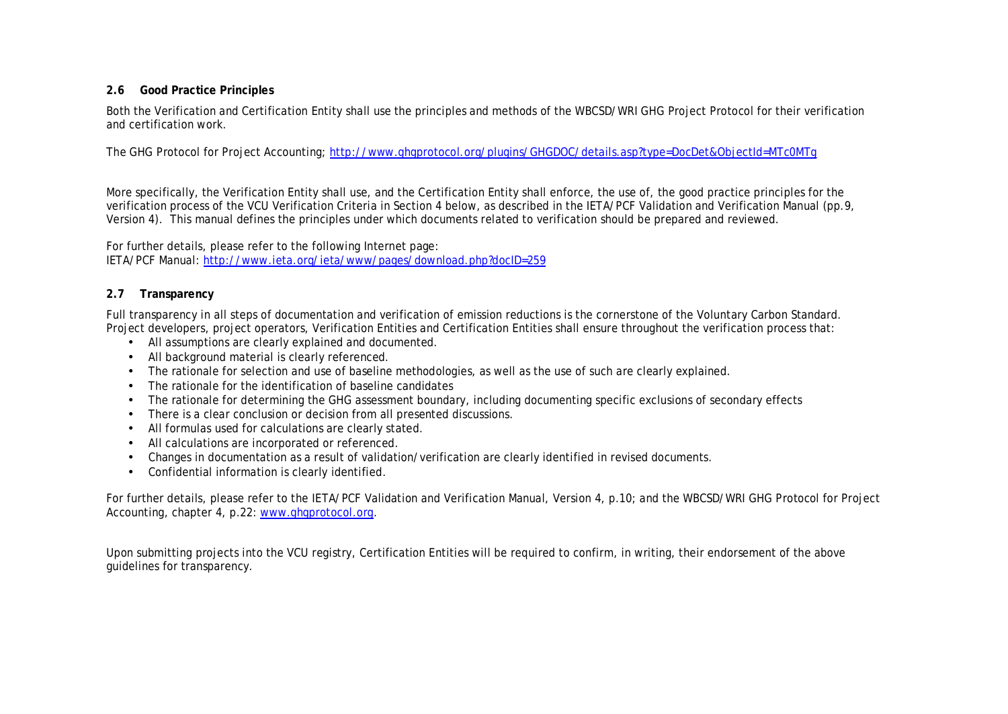## **2.6 Good Practice Principles**

Both the Verification and Certification Entity shall use the principles and methods of the WBCSD/WRI GHG Project Protocol for their verification and certification work.

The GHG Protocol for Project Accounting;<http://www.ghgprotocol.org/plugins/GHGDOC/details.asp?type=DocDet&ObjectId=MTc0MTg>

More specifically, the Verification Entity shall use, and the Certification Entity shall enforce, the use of, the good practice principles for the verification process of the VCU Verification Criteria in Section 4 below, as described in the IETA/PCF Validation and Verification Manual (pp.9, Version 4). This manual defines the principles under which documents related to verification should be prepared and reviewed.

For further details, please refer to the following Internet page: IETA/PCF Manual: <http://www.ieta.org/ieta/www/pages/download.php?docID=259>

# **2.7 Transparency**

Full transparency in all steps of documentation and verification of emission reductions is the cornerstone of the Voluntary Carbon Standard. Project developers, project operators, Verification Entities and Certification Entities shall ensure throughout the verification process that:

- All assumptions are clearly explained and documented.
- All background material is clearly referenced.
- The rationale for selection and use of baseline methodologies, as well as the use of such are clearly explained.
- The rationale for the identification of baseline candidates
- The rationale for determining the GHG assessment boundary, including documenting specific exclusions of secondary effects
- There is a clear conclusion or decision from all presented discussions.
- All formulas used for calculations are clearly stated.
- All calculations are incorporated or referenced.
- Changes in documentation as a result of validation/verification are clearly identified in revised documents.
- Confidential information is clearly identified.

For further details, please refer to the IETA/PCF Validation and Verification Manual, Version 4, p.10; and the WBCSD/WRI GHG Protocol for Project Accounting, chapter 4, p.22: [www.ghgprotocol.org.](http://www.ghgprotocol.org)

Upon submitting projects into the VCU registry, Certification Entities will be required to confirm, in writing, their endorsement of the above guidelines for transparency.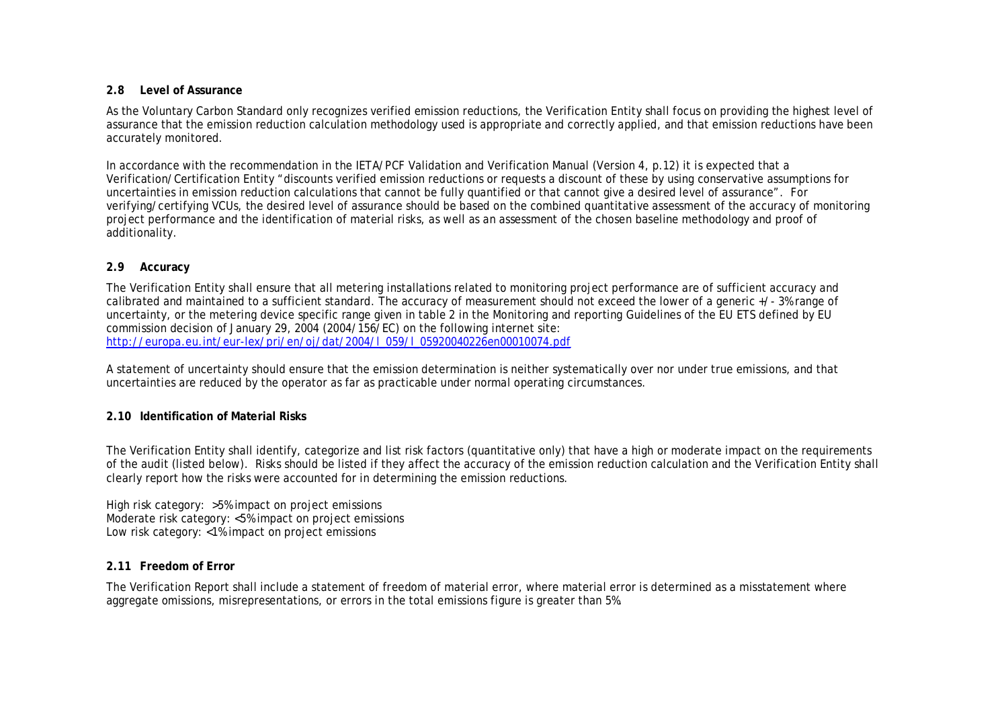#### **2.8 Level of Assurance**

As the Voluntary Carbon Standard only recognizes verified emission reductions, the Verification Entity shall focus on providing the highest level of assurance that the emission reduction calculation methodology used is appropriate and correctly applied, and that emission reductions have been accurately monitored.

In accordance with the recommendation in the IETA/PCF Validation and Verification Manual (Version 4, p.12) it is expected that a Verification/Certification Entity "discounts verified emission reductions or requests a discount of these by using conservative assumptions for uncertainties in emission reduction calculations that cannot be fully quantified or that cannot give a desired level of assurance". For verifying/certifying VCUs, the desired level of assurance should be based on the combined quantitative assessment of the accuracy of monitoring project performance and the identification of material risks, as well as an assessment of the chosen baseline methodology and proof of additionality.

# **2.9 Accuracy**

The Verification Entity shall ensure that all metering installations related to monitoring project performance are of sufficient accuracy and calibrated and maintained to a sufficient standard. The accuracy of measurement should not exceed the lower of a generic +/- 3% range of uncertainty, or the metering device specific range given in table 2 in the Monitoring and reporting Guidelines of the EU ETS defined by EU commission decision of January 29, 2004 (2004/156/EC) on the following internet site: [http://europa.eu.int/eur-lex/pri/en/oj/dat/2004/l\\_059/l\\_05920040226en00010074.pdf](http://europa.eu.int/eur-lex/pri/en/oj/dat/2004/l_059/l_05920040226en00010074.pdf)

A statement of uncertainty should ensure that the emission determination is neither systematically over nor under true emissions, and that uncertainties are reduced by the operator as far as practicable under normal operating circumstances.

# **2.10 Identification of Material Risks**

The Verification Entity shall identify, categorize and list risk factors (quantitative only) that have a high or moderate impact on the requirements of the audit (listed below). Risks should be listed if they affect the accuracy of the emission reduction calculation and the Verification Entity shall clearly report how the risks were accounted for in determining the emission reductions.

High risk category: >5% impact on project emissions Moderate risk category: <5% impact on project emissions Low risk category: <1% impact on project emissions

# **2.11 Freedom of Error**

The Verification Report shall include a statement of freedom of material error, where material error is determined as a misstatement where aggregate omissions, misrepresentations, or errors in the total emissions figure is greater than 5%.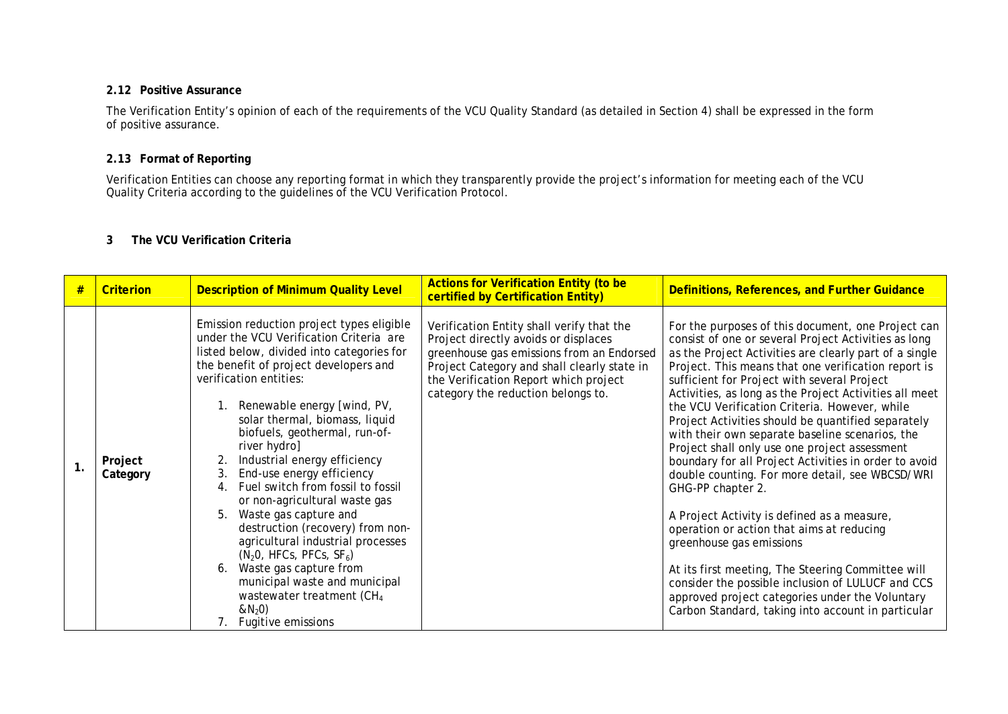#### **2.12 Positive Assurance**

The Verification Entity's opinion of each of the requirements of the VCU Quality Standard (as detailed in Section 4) shall be expressed in the form of positive assurance.

## **2.13 Format of Reporting**

Verification Entities can choose any reporting format in which they transparently provide the project's information for meeting each of the VCU Quality Criteria according to the guidelines of the VCU Verification Protocol.

# **3 The VCU Verification Criteria**

| #  | Criterion           | <b>Description of Minimum Quality Level</b>                                                                                                                                                                                                                                                                                                                                                                                                                                                                                                                                                                                                                                                                                                                   | <b>Actions for Verification Entity (to be</b><br>certified by Certification Entity)                                                                                                                                                                          | Definitions, References, and Further Guidance                                                                                                                                                                                                                                                                                                                                                                                                                                                                                                                                                                                                                                                                                                                                                                                                                                                                                                                                                                               |
|----|---------------------|---------------------------------------------------------------------------------------------------------------------------------------------------------------------------------------------------------------------------------------------------------------------------------------------------------------------------------------------------------------------------------------------------------------------------------------------------------------------------------------------------------------------------------------------------------------------------------------------------------------------------------------------------------------------------------------------------------------------------------------------------------------|--------------------------------------------------------------------------------------------------------------------------------------------------------------------------------------------------------------------------------------------------------------|-----------------------------------------------------------------------------------------------------------------------------------------------------------------------------------------------------------------------------------------------------------------------------------------------------------------------------------------------------------------------------------------------------------------------------------------------------------------------------------------------------------------------------------------------------------------------------------------------------------------------------------------------------------------------------------------------------------------------------------------------------------------------------------------------------------------------------------------------------------------------------------------------------------------------------------------------------------------------------------------------------------------------------|
| 1. | Project<br>Category | Emission reduction project types eligible<br>under the VCU Verification Criteria are<br>listed below, divided into categories for<br>the benefit of project developers and<br>verification entities:<br>Renewable energy [wind, PV,<br>solar thermal, biomass, liquid<br>biofuels, geothermal, run-of-<br>river hydro]<br>Industrial energy efficiency<br>End-use energy efficiency<br>3.<br>Fuel switch from fossil to fossil<br>4.<br>or non-agricultural waste gas<br>Waste gas capture and<br>5.<br>destruction (recovery) from non-<br>agricultural industrial processes<br>$(N2O, HFCs, PFCs, SF6)$<br>Waste gas capture from<br>6.<br>municipal waste and municipal<br>wastewater treatment (CH <sub>4</sub><br>$&N_{2}0)$<br>Fugitive emissions<br>7. | Verification Entity shall verify that the<br>Project directly avoids or displaces<br>greenhouse gas emissions from an Endorsed<br>Project Category and shall clearly state in<br>the Verification Report which project<br>category the reduction belongs to. | For the purposes of this document, one Project can<br>consist of one or several Project Activities as long<br>as the Project Activities are clearly part of a single<br>Project. This means that one verification report is<br>sufficient for Project with several Project<br>Activities, as long as the Project Activities all meet<br>the VCU Verification Criteria. However, while<br>Project Activities should be quantified separately<br>with their own separate baseline scenarios, the<br>Project shall only use one project assessment<br>boundary for all Project Activities in order to avoid<br>double counting. For more detail, see WBCSD/WRI<br>GHG-PP chapter 2.<br>A Project Activity is defined as a measure,<br>operation or action that aims at reducing<br>greenhouse gas emissions<br>At its first meeting, The Steering Committee will<br>consider the possible inclusion of LULUCF and CCS<br>approved project categories under the Voluntary<br>Carbon Standard, taking into account in particular |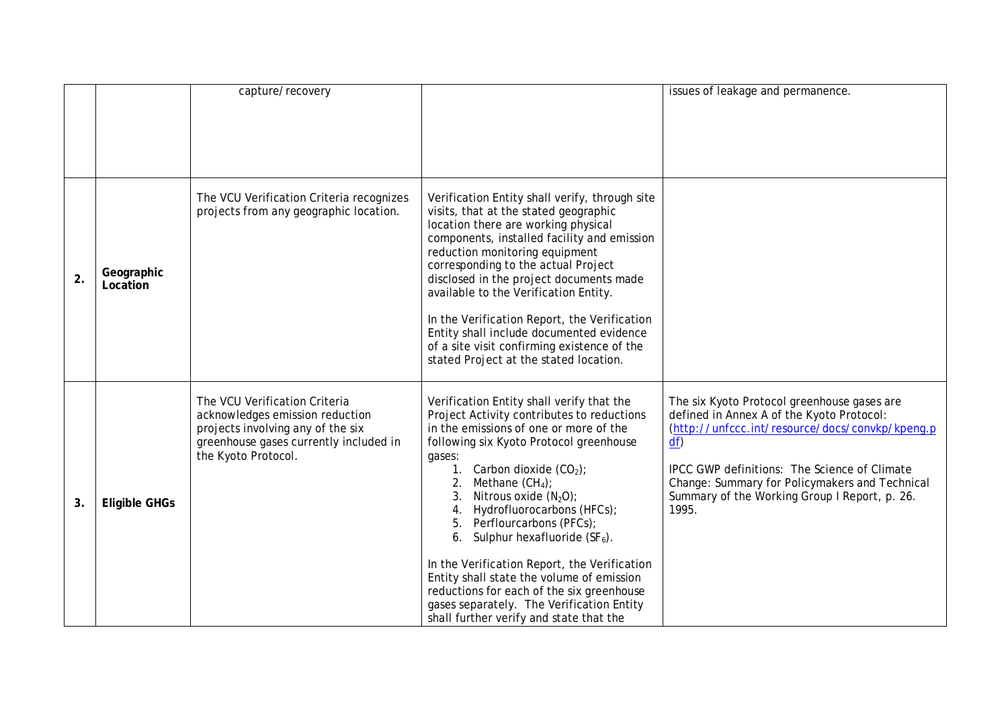|    |                        | capture/recovery                                                                                                                                                       |                                                                                                                                                                                                                                                                                                                                                                                                                                                                                                                                                                                                                               | issues of leakage and permanence.                                                                                                                                                                                                                                                                             |
|----|------------------------|------------------------------------------------------------------------------------------------------------------------------------------------------------------------|-------------------------------------------------------------------------------------------------------------------------------------------------------------------------------------------------------------------------------------------------------------------------------------------------------------------------------------------------------------------------------------------------------------------------------------------------------------------------------------------------------------------------------------------------------------------------------------------------------------------------------|---------------------------------------------------------------------------------------------------------------------------------------------------------------------------------------------------------------------------------------------------------------------------------------------------------------|
|    |                        |                                                                                                                                                                        |                                                                                                                                                                                                                                                                                                                                                                                                                                                                                                                                                                                                                               |                                                                                                                                                                                                                                                                                                               |
| 2. | Geographic<br>Location | The VCU Verification Criteria recognizes<br>projects from any geographic location.                                                                                     | Verification Entity shall verify, through site<br>visits, that at the stated geographic<br>location there are working physical<br>components, installed facility and emission<br>reduction monitoring equipment<br>corresponding to the actual Project<br>disclosed in the project documents made<br>available to the Verification Entity.<br>In the Verification Report, the Verification<br>Entity shall include documented evidence<br>of a site visit confirming existence of the<br>stated Project at the stated location.                                                                                               |                                                                                                                                                                                                                                                                                                               |
| 3. | <b>Eligible GHGs</b>   | The VCU Verification Criteria<br>acknowledges emission reduction<br>projects involving any of the six<br>greenhouse gases currently included in<br>the Kyoto Protocol. | Verification Entity shall verify that the<br>Project Activity contributes to reductions<br>in the emissions of one or more of the<br>following six Kyoto Protocol greenhouse<br>gases:<br>1. Carbon dioxide $(CO2)$ ;<br>Methane $(CH_4)$ ;<br>2.<br>Nitrous oxide $(N_2O)$ ;<br>3.<br>Hydrofluorocarbons (HFCs);<br>4.<br>5. Perflourcarbons (PFCs);<br>6. Sulphur hexafluoride $(SF_6)$ .<br>In the Verification Report, the Verification<br>Entity shall state the volume of emission<br>reductions for each of the six greenhouse<br>gases separately. The Verification Entity<br>shall further verify and state that the | The six Kyoto Protocol greenhouse gases are<br>defined in Annex A of the Kyoto Protocol:<br>(http://unfccc.int/resource/docs/convkp/kpeng.p<br>df<br>IPCC GWP definitions: The Science of Climate<br>Change: Summary for Policymakers and Technical<br>Summary of the Working Group I Report, p. 26.<br>1995. |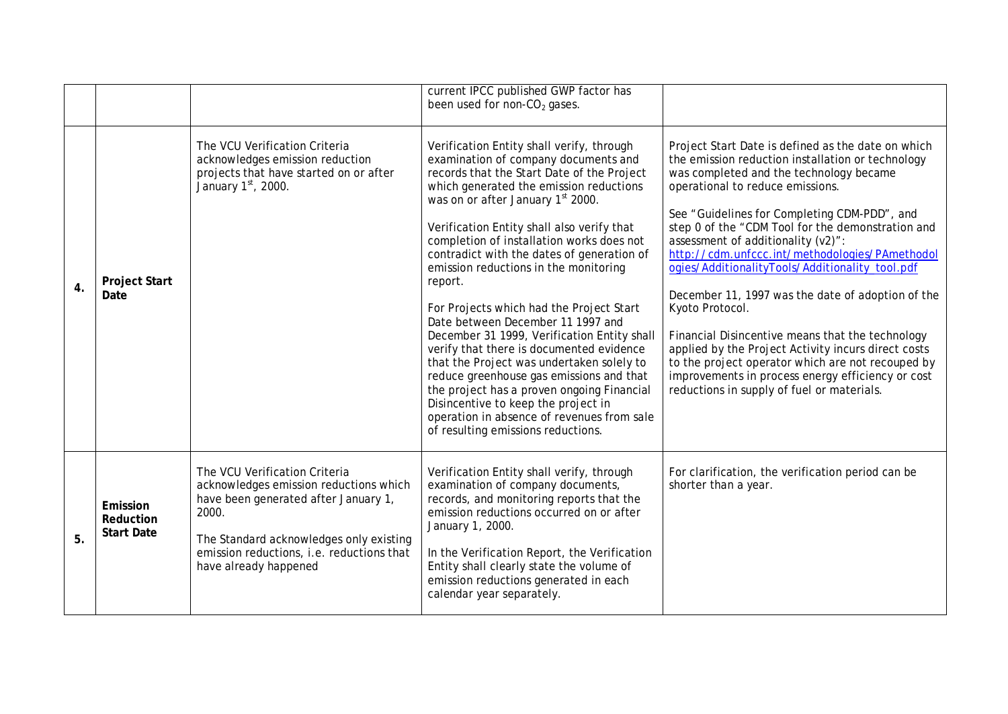|                  |                                            |                                                                                                                                                                                                                                           | current IPCC published GWP factor has<br>been used for non-CO <sub>2</sub> gases.                                                                                                                                                                                                                                                                                                                                                                                                                                                                                                                                                                                                                                                                                                                                                                          |                                                                                                                                                                                                                                                                                                                                                                                                                                                                                                                                                                                                                                                                                                                                                                                   |
|------------------|--------------------------------------------|-------------------------------------------------------------------------------------------------------------------------------------------------------------------------------------------------------------------------------------------|------------------------------------------------------------------------------------------------------------------------------------------------------------------------------------------------------------------------------------------------------------------------------------------------------------------------------------------------------------------------------------------------------------------------------------------------------------------------------------------------------------------------------------------------------------------------------------------------------------------------------------------------------------------------------------------------------------------------------------------------------------------------------------------------------------------------------------------------------------|-----------------------------------------------------------------------------------------------------------------------------------------------------------------------------------------------------------------------------------------------------------------------------------------------------------------------------------------------------------------------------------------------------------------------------------------------------------------------------------------------------------------------------------------------------------------------------------------------------------------------------------------------------------------------------------------------------------------------------------------------------------------------------------|
| $\overline{4}$ . | <b>Project Start</b><br>Date               | The VCU Verification Criteria<br>acknowledges emission reduction<br>projects that have started on or after<br>January 1st, 2000.                                                                                                          | Verification Entity shall verify, through<br>examination of company documents and<br>records that the Start Date of the Project<br>which generated the emission reductions<br>was on or after January 1st 2000.<br>Verification Entity shall also verify that<br>completion of installation works does not<br>contradict with the dates of generation of<br>emission reductions in the monitoring<br>report.<br>For Projects which had the Project Start<br>Date between December 11 1997 and<br>December 31 1999, Verification Entity shall<br>verify that there is documented evidence<br>that the Project was undertaken solely to<br>reduce greenhouse gas emissions and that<br>the project has a proven ongoing Financial<br>Disincentive to keep the project in<br>operation in absence of revenues from sale<br>of resulting emissions reductions. | Project Start Date is defined as the date on which<br>the emission reduction installation or technology<br>was completed and the technology became<br>operational to reduce emissions.<br>See "Guidelines for Completing CDM-PDD", and<br>step 0 of the "CDM Tool for the demonstration and<br>assessment of additionality (v2)":<br>http://cdm.unfccc.int/methodologies/PAmethodol<br>ogies/AdditionalityTools/Additionality_tool.pdf<br>December 11, 1997 was the date of adoption of the<br>Kyoto Protocol.<br>Financial Disincentive means that the technology<br>applied by the Project Activity incurs direct costs<br>to the project operator which are not recouped by<br>improvements in process energy efficiency or cost<br>reductions in supply of fuel or materials. |
| 5.               | Emission<br>Reduction<br><b>Start Date</b> | The VCU Verification Criteria<br>acknowledges emission reductions which<br>have been generated after January 1,<br>2000.<br>The Standard acknowledges only existing<br>emission reductions, i.e. reductions that<br>have already happened | Verification Entity shall verify, through<br>examination of company documents,<br>records, and monitoring reports that the<br>emission reductions occurred on or after<br>January 1, 2000.<br>In the Verification Report, the Verification<br>Entity shall clearly state the volume of<br>emission reductions generated in each<br>calendar year separately.                                                                                                                                                                                                                                                                                                                                                                                                                                                                                               | For clarification, the verification period can be<br>shorter than a year.                                                                                                                                                                                                                                                                                                                                                                                                                                                                                                                                                                                                                                                                                                         |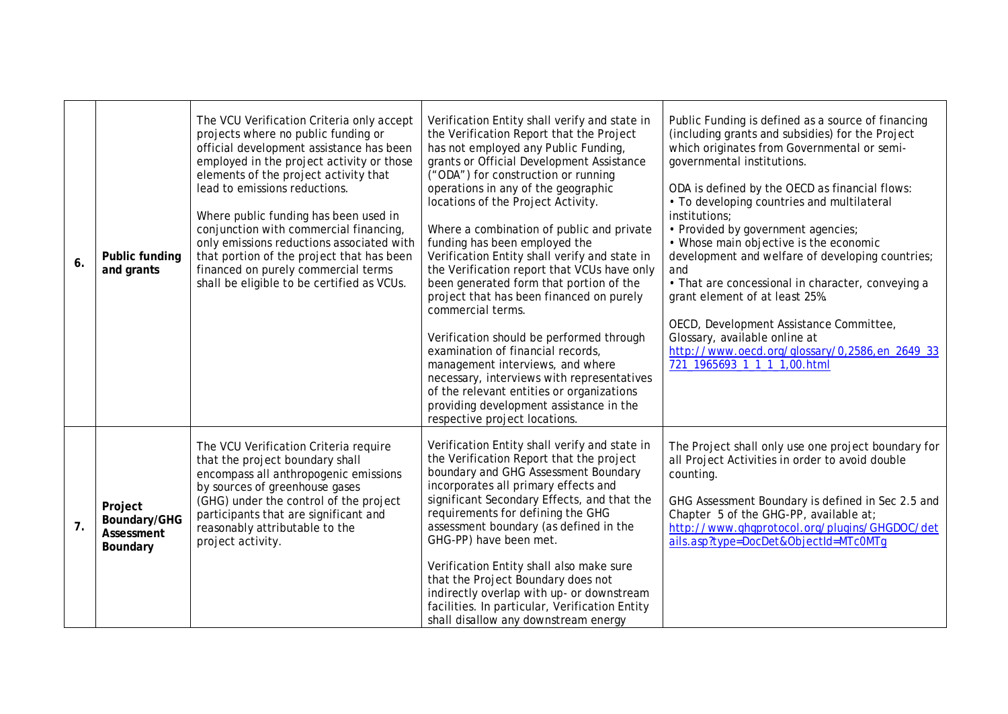| 6 <sub>1</sub> | Public funding<br>and grants                      | The VCU Verification Criteria only accept<br>projects where no public funding or<br>official development assistance has been<br>employed in the project activity or those<br>elements of the project activity that<br>lead to emissions reductions.<br>Where public funding has been used in<br>conjunction with commercial financing,<br>only emissions reductions associated with<br>that portion of the project that has been<br>financed on purely commercial terms<br>shall be eligible to be certified as VCUs. | Verification Entity shall verify and state in<br>the Verification Report that the Project<br>has not employed any Public Funding,<br>grants or Official Development Assistance<br>("ODA") for construction or running<br>operations in any of the geographic<br>locations of the Project Activity.<br>Where a combination of public and private<br>funding has been employed the<br>Verification Entity shall verify and state in<br>the Verification report that VCUs have only<br>been generated form that portion of the<br>project that has been financed on purely<br>commercial terms.<br>Verification should be performed through<br>examination of financial records,<br>management interviews, and where<br>necessary, interviews with representatives<br>of the relevant entities or organizations<br>providing development assistance in the<br>respective project locations. | Public Funding is defined as a source of financing<br>(including grants and subsidies) for the Project<br>which originates from Governmental or semi-<br>governmental institutions.<br>ODA is defined by the OECD as financial flows:<br>• To developing countries and multilateral<br>institutions;<br>• Provided by government agencies;<br>• Whose main objective is the economic<br>development and welfare of developing countries;<br>and<br>• That are concessional in character, conveying a<br>grant element of at least 25%.<br>OECD, Development Assistance Committee,<br>Glossary, available online at<br>http://www.oecd.org/glossary/0,2586,en_2649_33<br>721_1965693_1_1_1_1,00.html |
|----------------|---------------------------------------------------|-----------------------------------------------------------------------------------------------------------------------------------------------------------------------------------------------------------------------------------------------------------------------------------------------------------------------------------------------------------------------------------------------------------------------------------------------------------------------------------------------------------------------|------------------------------------------------------------------------------------------------------------------------------------------------------------------------------------------------------------------------------------------------------------------------------------------------------------------------------------------------------------------------------------------------------------------------------------------------------------------------------------------------------------------------------------------------------------------------------------------------------------------------------------------------------------------------------------------------------------------------------------------------------------------------------------------------------------------------------------------------------------------------------------------|-----------------------------------------------------------------------------------------------------------------------------------------------------------------------------------------------------------------------------------------------------------------------------------------------------------------------------------------------------------------------------------------------------------------------------------------------------------------------------------------------------------------------------------------------------------------------------------------------------------------------------------------------------------------------------------------------------|
| 7.             | Project<br>Boundary/GHG<br>Assessment<br>Boundary | The VCU Verification Criteria require<br>that the project boundary shall<br>encompass all anthropogenic emissions<br>by sources of greenhouse gases<br>(GHG) under the control of the project<br>participants that are significant and<br>reasonably attributable to the<br>project activity.                                                                                                                                                                                                                         | Verification Entity shall verify and state in<br>the Verification Report that the project<br>boundary and GHG Assessment Boundary<br>incorporates all primary effects and<br>significant Secondary Effects, and that the<br>requirements for defining the GHG<br>assessment boundary (as defined in the<br>GHG-PP) have been met.<br>Verification Entity shall also make sure<br>that the Project Boundary does not<br>indirectly overlap with up- or downstream<br>facilities. In particular, Verification Entity<br>shall disallow any downstream energy                                                                                                                                                                                                                                                                                                                               | The Project shall only use one project boundary for<br>all Project Activities in order to avoid double<br>counting.<br>GHG Assessment Boundary is defined in Sec 2.5 and<br>Chapter 5 of the GHG-PP, available at;<br>http://www.ghgprotocol.org/plugins/GHGDOC/det<br>ails.asp?type=DocDet&ObjectId=MTc0MTq                                                                                                                                                                                                                                                                                                                                                                                        |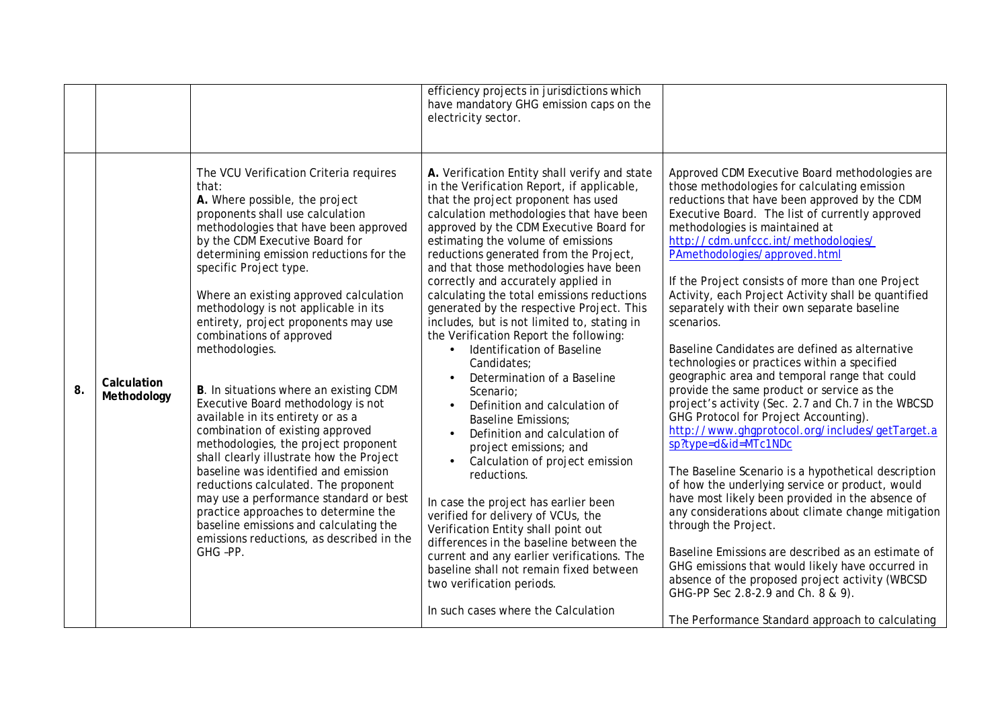|    |                            |                                                                                                                                                                                                                                                                                                                                                                                                                                                                                                                                                                                                                                                                                                                                                                                                                                                                                                                                                                | efficiency projects in jurisdictions which<br>have mandatory GHG emission caps on the<br>electricity sector.                                                                                                                                                                                                                                                                                                                                                                                                                                                                                                                                                                                                                                                                                                                                                                                                                                                                                                                                                                                                                                                                                                                         |                                                                                                                                                                                                                                                                                                                                                                                                                                                                                                                                                                                                                                                                                                                                                                                                                                                                                                                                                                                                                                                                                                                                                                                                                                                                                                                                                                     |
|----|----------------------------|----------------------------------------------------------------------------------------------------------------------------------------------------------------------------------------------------------------------------------------------------------------------------------------------------------------------------------------------------------------------------------------------------------------------------------------------------------------------------------------------------------------------------------------------------------------------------------------------------------------------------------------------------------------------------------------------------------------------------------------------------------------------------------------------------------------------------------------------------------------------------------------------------------------------------------------------------------------|--------------------------------------------------------------------------------------------------------------------------------------------------------------------------------------------------------------------------------------------------------------------------------------------------------------------------------------------------------------------------------------------------------------------------------------------------------------------------------------------------------------------------------------------------------------------------------------------------------------------------------------------------------------------------------------------------------------------------------------------------------------------------------------------------------------------------------------------------------------------------------------------------------------------------------------------------------------------------------------------------------------------------------------------------------------------------------------------------------------------------------------------------------------------------------------------------------------------------------------|---------------------------------------------------------------------------------------------------------------------------------------------------------------------------------------------------------------------------------------------------------------------------------------------------------------------------------------------------------------------------------------------------------------------------------------------------------------------------------------------------------------------------------------------------------------------------------------------------------------------------------------------------------------------------------------------------------------------------------------------------------------------------------------------------------------------------------------------------------------------------------------------------------------------------------------------------------------------------------------------------------------------------------------------------------------------------------------------------------------------------------------------------------------------------------------------------------------------------------------------------------------------------------------------------------------------------------------------------------------------|
| 8. | Calculation<br>Methodology | The VCU Verification Criteria requires<br>that:<br>A. Where possible, the project<br>proponents shall use calculation<br>methodologies that have been approved<br>by the CDM Executive Board for<br>determining emission reductions for the<br>specific Project type.<br>Where an existing approved calculation<br>methodology is not applicable in its<br>entirety, project proponents may use<br>combinations of approved<br>methodologies.<br>B. In situations where an existing CDM<br>Executive Board methodology is not<br>available in its entirety or as a<br>combination of existing approved<br>methodologies, the project proponent<br>shall clearly illustrate how the Project<br>baseline was identified and emission<br>reductions calculated. The proponent<br>may use a performance standard or best<br>practice approaches to determine the<br>baseline emissions and calculating the<br>emissions reductions, as described in the<br>GHG-PP. | A. Verification Entity shall verify and state<br>in the Verification Report, if applicable,<br>that the project proponent has used<br>calculation methodologies that have been<br>approved by the CDM Executive Board for<br>estimating the volume of emissions<br>reductions generated from the Project,<br>and that those methodologies have been<br>correctly and accurately applied in<br>calculating the total emissions reductions<br>generated by the respective Project. This<br>includes, but is not limited to, stating in<br>the Verification Report the following:<br>Identification of Baseline<br>$\bullet$<br>Candidates:<br>Determination of a Baseline<br>$\bullet$<br>Scenario:<br>Definition and calculation of<br>$\bullet$<br><b>Baseline Emissions:</b><br>Definition and calculation of<br>$\bullet$<br>project emissions; and<br>Calculation of project emission<br>reductions.<br>In case the project has earlier been<br>verified for delivery of VCUs, the<br>Verification Entity shall point out<br>differences in the baseline between the<br>current and any earlier verifications. The<br>baseline shall not remain fixed between<br>two verification periods.<br>In such cases where the Calculation | Approved CDM Executive Board methodologies are<br>those methodologies for calculating emission<br>reductions that have been approved by the CDM<br>Executive Board. The list of currently approved<br>methodologies is maintained at<br>http://cdm.unfccc.int/methodologies/<br>PAmethodologies/approved.html<br>If the Project consists of more than one Project<br>Activity, each Project Activity shall be quantified<br>separately with their own separate baseline<br>scenarios.<br>Baseline Candidates are defined as alternative<br>technologies or practices within a specified<br>geographic area and temporal range that could<br>provide the same product or service as the<br>project's activity (Sec. 2.7 and Ch.7 in the WBCSD<br>GHG Protocol for Project Accounting).<br>http://www.ghgprotocol.org/includes/getTarget.a<br>sp?type=d&id=MTc1NDc<br>The Baseline Scenario is a hypothetical description<br>of how the underlying service or product, would<br>have most likely been provided in the absence of<br>any considerations about climate change mitigation<br>through the Project.<br>Baseline Emissions are described as an estimate of<br>GHG emissions that would likely have occurred in<br>absence of the proposed project activity (WBCSD<br>GHG-PP Sec 2.8-2.9 and Ch. 8 & 9).<br>The Performance Standard approach to calculating |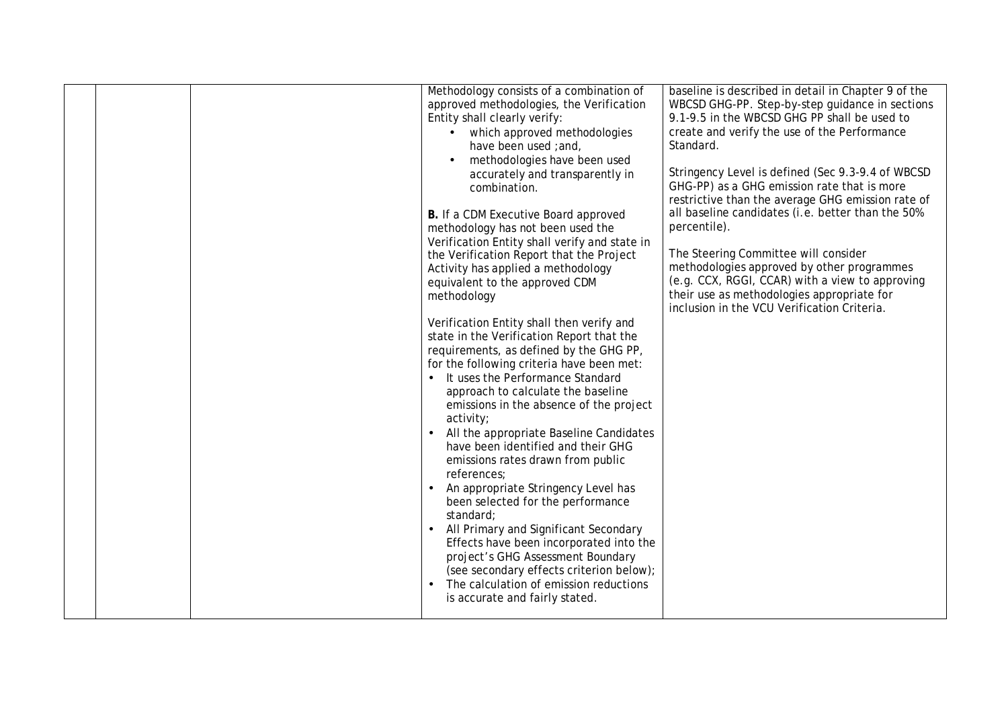|  | Methodology consists of a combination of<br>approved methodologies, the Verification<br>Entity shall clearly verify:<br>• which approved methodologies<br>have been used ; and,<br>methodologies have been used<br>accurately and transparently in<br>combination.<br>B. If a CDM Executive Board approved<br>methodology has not been used the<br>Verification Entity shall verify and state in<br>the Verification Report that the Project<br>Activity has applied a methodology<br>equivalent to the approved CDM<br>methodology<br>Verification Entity shall then verify and<br>state in the Verification Report that the<br>requirements, as defined by the GHG PP,<br>for the following criteria have been met:<br>• It uses the Performance Standard<br>approach to calculate the baseline<br>emissions in the absence of the project<br>activity;<br>All the appropriate Baseline Candidates<br>have been identified and their GHG<br>emissions rates drawn from public<br>references;<br>An appropriate Stringency Level has<br>been selected for the performance<br>standard;<br>All Primary and Significant Secondary<br>Effects have been incorporated into the<br>project's GHG Assessment Boundary<br>(see secondary effects criterion below);<br>The calculation of emission reductions<br>is accurate and fairly stated. | baseline is described in detail in Chapter 9 of the<br>WBCSD GHG-PP. Step-by-step guidance in sections<br>9.1-9.5 in the WBCSD GHG PP shall be used to<br>create and verify the use of the Performance<br>Standard.<br>Stringency Level is defined (Sec 9.3-9.4 of WBCSD<br>GHG-PP) as a GHG emission rate that is more<br>restrictive than the average GHG emission rate of<br>all baseline candidates (i.e. better than the 50%<br>percentile).<br>The Steering Committee will consider<br>methodologies approved by other programmes<br>(e.g. CCX, RGGI, CCAR) with a view to approving<br>their use as methodologies appropriate for<br>inclusion in the VCU Verification Criteria. |
|--|------------------------------------------------------------------------------------------------------------------------------------------------------------------------------------------------------------------------------------------------------------------------------------------------------------------------------------------------------------------------------------------------------------------------------------------------------------------------------------------------------------------------------------------------------------------------------------------------------------------------------------------------------------------------------------------------------------------------------------------------------------------------------------------------------------------------------------------------------------------------------------------------------------------------------------------------------------------------------------------------------------------------------------------------------------------------------------------------------------------------------------------------------------------------------------------------------------------------------------------------------------------------------------------------------------------------------------------|-----------------------------------------------------------------------------------------------------------------------------------------------------------------------------------------------------------------------------------------------------------------------------------------------------------------------------------------------------------------------------------------------------------------------------------------------------------------------------------------------------------------------------------------------------------------------------------------------------------------------------------------------------------------------------------------|
|  |                                                                                                                                                                                                                                                                                                                                                                                                                                                                                                                                                                                                                                                                                                                                                                                                                                                                                                                                                                                                                                                                                                                                                                                                                                                                                                                                          |                                                                                                                                                                                                                                                                                                                                                                                                                                                                                                                                                                                                                                                                                         |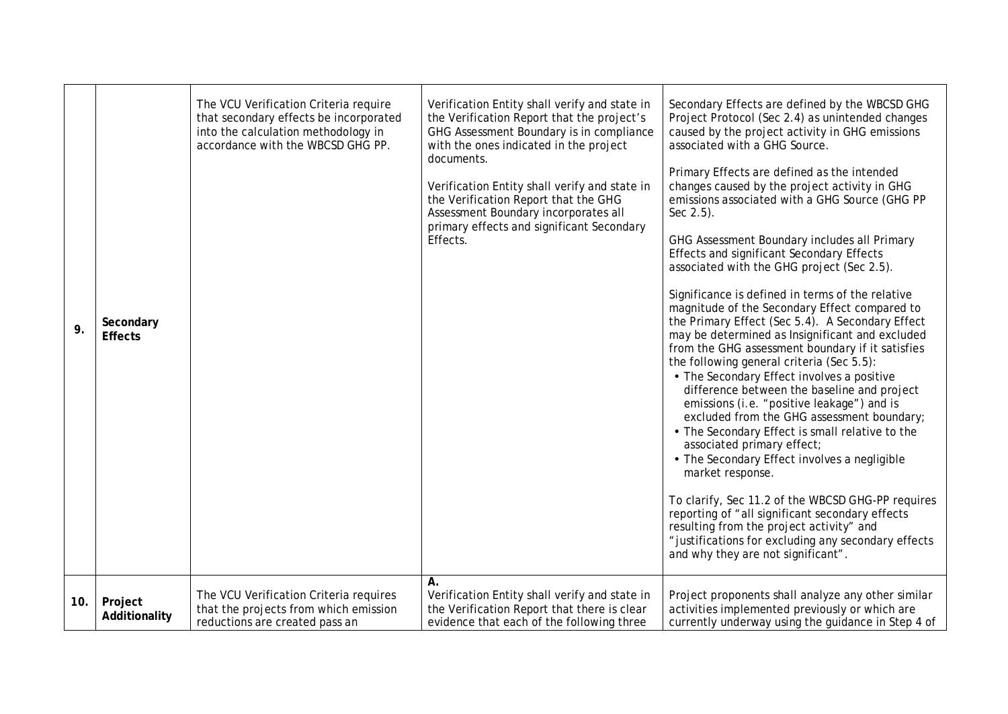| 9.  | Secondary<br><b>Effects</b> | The VCU Verification Criteria require<br>that secondary effects be incorporated<br>into the calculation methodology in<br>accordance with the WBCSD GHG PP. | Verification Entity shall verify and state in<br>the Verification Report that the project's<br>GHG Assessment Boundary is in compliance<br>with the ones indicated in the project<br>documents.<br>Verification Entity shall verify and state in<br>the Verification Report that the GHG<br>Assessment Boundary incorporates all<br>primary effects and significant Secondary<br>Effects. | Secondary Effects are defined by the WBCSD GHG<br>Project Protocol (Sec 2.4) as unintended changes<br>caused by the project activity in GHG emissions<br>associated with a GHG Source.<br>Primary Effects are defined as the intended<br>changes caused by the project activity in GHG<br>emissions associated with a GHG Source (GHG PP<br>Sec $2.5$ ).<br>GHG Assessment Boundary includes all Primary<br><b>Effects and significant Secondary Effects</b><br>associated with the GHG project (Sec 2.5).<br>Significance is defined in terms of the relative<br>magnitude of the Secondary Effect compared to<br>the Primary Effect (Sec 5.4). A Secondary Effect<br>may be determined as Insignificant and excluded<br>from the GHG assessment boundary if it satisfies<br>the following general criteria (Sec 5.5):<br>• The Secondary Effect involves a positive<br>difference between the baseline and project<br>emissions (i.e. "positive leakage") and is<br>excluded from the GHG assessment boundary;<br>• The Secondary Effect is small relative to the<br>associated primary effect;<br>• The Secondary Effect involves a negligible<br>market response.<br>To clarify, Sec 11.2 of the WBCSD GHG-PP requires<br>reporting of "all significant secondary effects<br>resulting from the project activity" and<br>" justifications for excluding any secondary effects<br>and why they are not significant". |
|-----|-----------------------------|-------------------------------------------------------------------------------------------------------------------------------------------------------------|-------------------------------------------------------------------------------------------------------------------------------------------------------------------------------------------------------------------------------------------------------------------------------------------------------------------------------------------------------------------------------------------|-------------------------------------------------------------------------------------------------------------------------------------------------------------------------------------------------------------------------------------------------------------------------------------------------------------------------------------------------------------------------------------------------------------------------------------------------------------------------------------------------------------------------------------------------------------------------------------------------------------------------------------------------------------------------------------------------------------------------------------------------------------------------------------------------------------------------------------------------------------------------------------------------------------------------------------------------------------------------------------------------------------------------------------------------------------------------------------------------------------------------------------------------------------------------------------------------------------------------------------------------------------------------------------------------------------------------------------------------------------------------------------------------------------------------|
| 10. | Project<br>Additionality    | The VCU Verification Criteria requires<br>that the projects from which emission<br>reductions are created pass an                                           | Α.<br>Verification Entity shall verify and state in<br>the Verification Report that there is clear<br>evidence that each of the following three                                                                                                                                                                                                                                           | Project proponents shall analyze any other similar<br>activities implemented previously or which are<br>currently underway using the guidance in Step 4 of                                                                                                                                                                                                                                                                                                                                                                                                                                                                                                                                                                                                                                                                                                                                                                                                                                                                                                                                                                                                                                                                                                                                                                                                                                                              |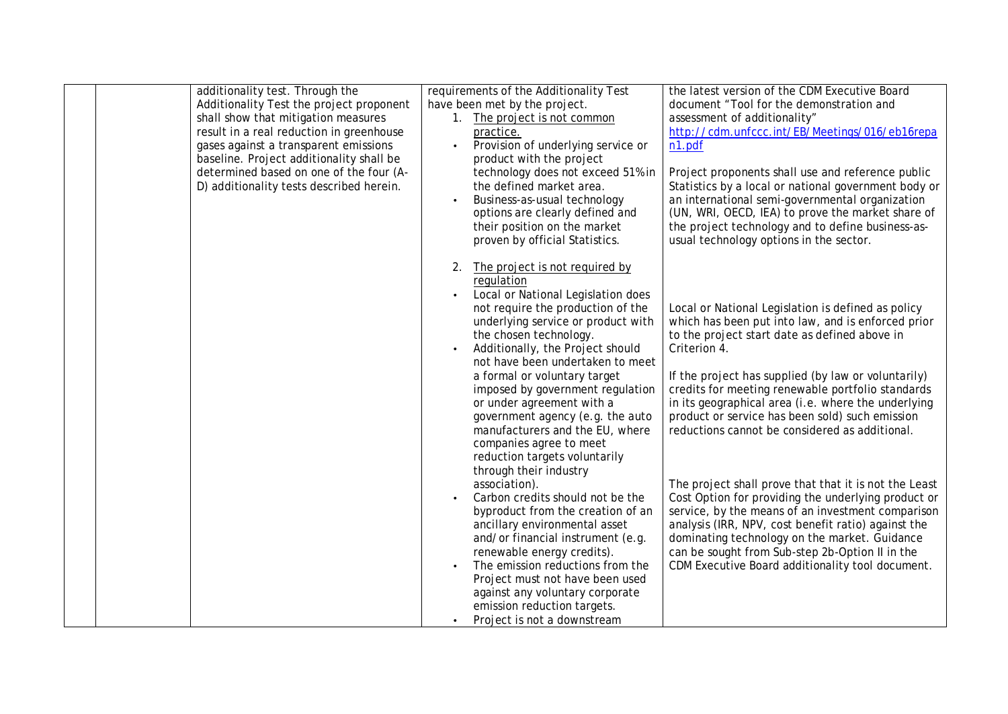| additionality test. Through the          | requirements of the Additionality Test                        | the latest version of the CDM Executive Board                                                          |
|------------------------------------------|---------------------------------------------------------------|--------------------------------------------------------------------------------------------------------|
| Additionality Test the project proponent | have been met by the project.                                 | document "Tool for the demonstration and                                                               |
| shall show that mitigation measures      | 1. The project is not common                                  | assessment of additionality"                                                                           |
| result in a real reduction in greenhouse | practice.                                                     | http://cdm.unfccc.int/EB/Meetings/016/eb16repa                                                         |
| gases against a transparent emissions    | Provision of underlying service or                            | n1.pdf                                                                                                 |
| baseline. Project additionality shall be | product with the project                                      |                                                                                                        |
| determined based on one of the four (A-  | technology does not exceed 51% in                             | Project proponents shall use and reference public                                                      |
| D) additionality tests described herein. | the defined market area.                                      | Statistics by a local or national government body or                                                   |
|                                          | Business-as-usual technology                                  | an international semi-governmental organization                                                        |
|                                          | options are clearly defined and                               | (UN, WRI, OECD, IEA) to prove the market share of                                                      |
|                                          | their position on the market                                  | the project technology and to define business-as-                                                      |
|                                          | proven by official Statistics.                                | usual technology options in the sector.                                                                |
|                                          |                                                               |                                                                                                        |
|                                          | The project is not required by<br>2.                          |                                                                                                        |
|                                          | regulation                                                    |                                                                                                        |
|                                          | Local or National Legislation does                            |                                                                                                        |
|                                          | not require the production of the                             | Local or National Legislation is defined as policy                                                     |
|                                          | underlying service or product with                            | which has been put into law, and is enforced prior                                                     |
|                                          | the chosen technology.                                        | to the project start date as defined above in                                                          |
|                                          | Additionally, the Project should                              | Criterion 4.                                                                                           |
|                                          | not have been undertaken to meet                              |                                                                                                        |
|                                          | a formal or voluntary target                                  | If the project has supplied (by law or voluntarily)                                                    |
|                                          | imposed by government regulation                              | credits for meeting renewable portfolio standards                                                      |
|                                          | or under agreement with a<br>government agency (e.g. the auto | in its geographical area (i.e. where the underlying<br>product or service has been sold) such emission |
|                                          | manufacturers and the EU, where                               | reductions cannot be considered as additional.                                                         |
|                                          | companies agree to meet                                       |                                                                                                        |
|                                          | reduction targets voluntarily                                 |                                                                                                        |
|                                          | through their industry                                        |                                                                                                        |
|                                          | association).                                                 | The project shall prove that that it is not the Least                                                  |
|                                          | Carbon credits should not be the                              | Cost Option for providing the underlying product or                                                    |
|                                          | byproduct from the creation of an                             | service, by the means of an investment comparison                                                      |
|                                          | ancillary environmental asset                                 | analysis (IRR, NPV, cost benefit ratio) against the                                                    |
|                                          | and/or financial instrument (e.g.                             | dominating technology on the market. Guidance                                                          |
|                                          | renewable energy credits).                                    | can be sought from Sub-step 2b-Option II in the                                                        |
|                                          | The emission reductions from the                              | CDM Executive Board additionality tool document.                                                       |
|                                          | Project must not have been used                               |                                                                                                        |
|                                          | against any voluntary corporate                               |                                                                                                        |
|                                          | emission reduction targets.                                   |                                                                                                        |
|                                          | Project is not a downstream                                   |                                                                                                        |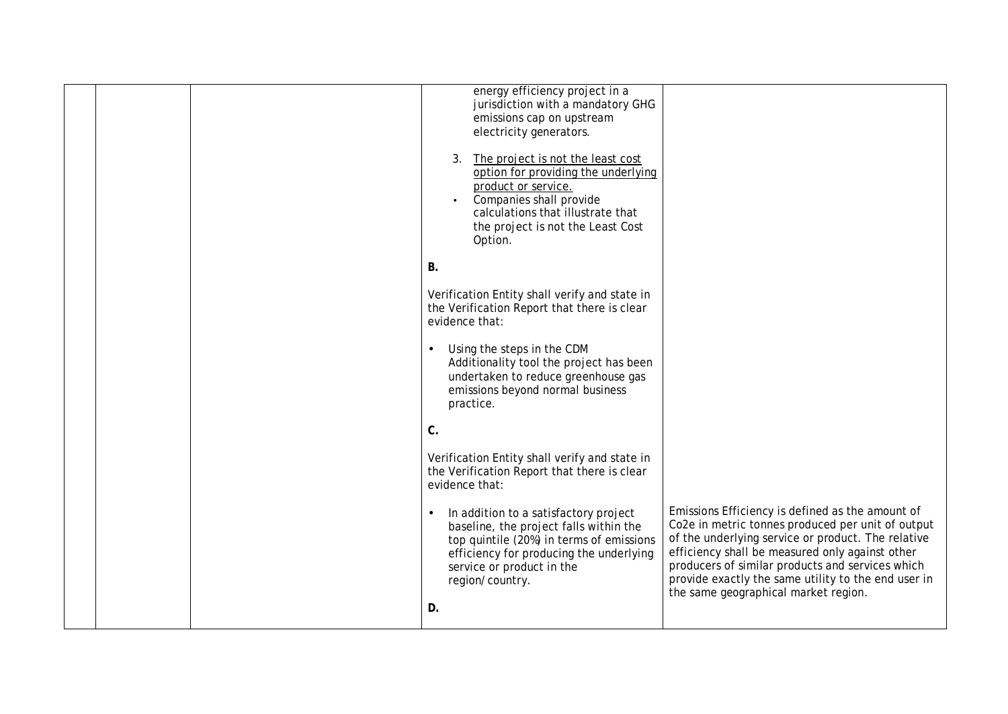|  | energy efficiency project in a<br>jurisdiction with a mandatory GHG<br>emissions cap on upstream<br>electricity generators.<br>The project is not the least cost<br>3.<br>option for providing the underlying<br>product or service.<br>Companies shall provide<br>$\bullet$<br>calculations that illustrate that<br>the project is not the Least Cost<br>Option. |                                                                                                                                                                                                                                                                                                                                                                   |
|--|-------------------------------------------------------------------------------------------------------------------------------------------------------------------------------------------------------------------------------------------------------------------------------------------------------------------------------------------------------------------|-------------------------------------------------------------------------------------------------------------------------------------------------------------------------------------------------------------------------------------------------------------------------------------------------------------------------------------------------------------------|
|  | <b>B.</b>                                                                                                                                                                                                                                                                                                                                                         |                                                                                                                                                                                                                                                                                                                                                                   |
|  | Verification Entity shall verify and state in<br>the Verification Report that there is clear<br>evidence that:                                                                                                                                                                                                                                                    |                                                                                                                                                                                                                                                                                                                                                                   |
|  | Using the steps in the CDM<br>$\bullet$<br>Additionality tool the project has been<br>undertaken to reduce greenhouse gas<br>emissions beyond normal business<br>practice.                                                                                                                                                                                        |                                                                                                                                                                                                                                                                                                                                                                   |
|  | $C$ .                                                                                                                                                                                                                                                                                                                                                             |                                                                                                                                                                                                                                                                                                                                                                   |
|  | Verification Entity shall verify and state in<br>the Verification Report that there is clear<br>evidence that:                                                                                                                                                                                                                                                    |                                                                                                                                                                                                                                                                                                                                                                   |
|  | In addition to a satisfactory project<br>baseline, the project falls within the<br>top quintile (20%) in terms of emissions<br>efficiency for producing the underlying<br>service or product in the<br>region/country.<br>D.                                                                                                                                      | Emissions Efficiency is defined as the amount of<br>Co2e in metric tonnes produced per unit of output<br>of the underlying service or product. The relative<br>efficiency shall be measured only against other<br>producers of similar products and services which<br>provide exactly the same utility to the end user in<br>the same geographical market region. |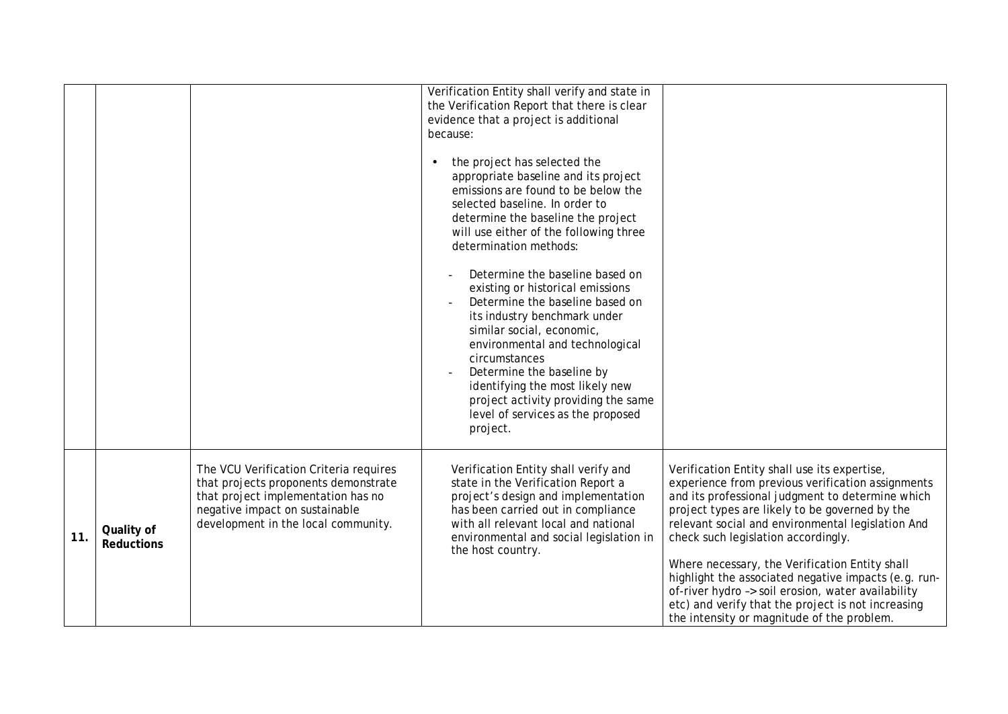|     |                                 |                                                                                                                                                                                               | Verification Entity shall verify and state in<br>the Verification Report that there is clear<br>evidence that a project is additional<br>because:<br>the project has selected the<br>appropriate baseline and its project<br>emissions are found to be below the<br>selected baseline. In order to<br>determine the baseline the project<br>will use either of the following three<br>determination methods:<br>Determine the baseline based on<br>existing or historical emissions<br>Determine the baseline based on<br>its industry benchmark under<br>similar social, economic,<br>environmental and technological<br>circumstances<br>Determine the baseline by<br>identifying the most likely new<br>project activity providing the same<br>level of services as the proposed<br>project. |                                                                                                                                                                                                                                                                                                                                                                                                                                                                                                                                                                         |
|-----|---------------------------------|-----------------------------------------------------------------------------------------------------------------------------------------------------------------------------------------------|-------------------------------------------------------------------------------------------------------------------------------------------------------------------------------------------------------------------------------------------------------------------------------------------------------------------------------------------------------------------------------------------------------------------------------------------------------------------------------------------------------------------------------------------------------------------------------------------------------------------------------------------------------------------------------------------------------------------------------------------------------------------------------------------------|-------------------------------------------------------------------------------------------------------------------------------------------------------------------------------------------------------------------------------------------------------------------------------------------------------------------------------------------------------------------------------------------------------------------------------------------------------------------------------------------------------------------------------------------------------------------------|
| 11. | Quality of<br><b>Reductions</b> | The VCU Verification Criteria requires<br>that projects proponents demonstrate<br>that project implementation has no<br>negative impact on sustainable<br>development in the local community. | Verification Entity shall verify and<br>state in the Verification Report a<br>project's design and implementation<br>has been carried out in compliance<br>with all relevant local and national<br>environmental and social legislation in<br>the host country.                                                                                                                                                                                                                                                                                                                                                                                                                                                                                                                                 | Verification Entity shall use its expertise,<br>experience from previous verification assignments<br>and its professional judgment to determine which<br>project types are likely to be governed by the<br>relevant social and environmental legislation And<br>check such legislation accordingly.<br>Where necessary, the Verification Entity shall<br>highlight the associated negative impacts (e.g. run-<br>of-river hydro -> soil erosion, water availability<br>etc) and verify that the project is not increasing<br>the intensity or magnitude of the problem. |